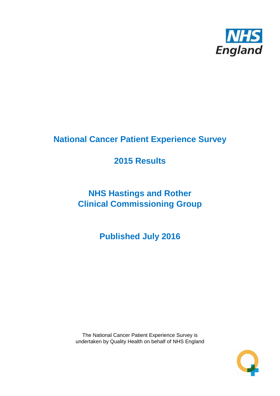

# **National Cancer Patient Experience Survey**

# **2015 Results**

# **NHS Hastings and Rother Clinical Commissioning Group**

**Published July 2016**

The National Cancer Patient Experience Survey is undertaken by Quality Health on behalf of NHS England

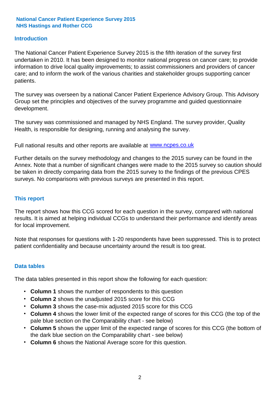## **Introduction**

The National Cancer Patient Experience Survey 2015 is the fifth iteration of the survey first undertaken in 2010. It has been designed to monitor national progress on cancer care; to provide information to drive local quality improvements; to assist commissioners and providers of cancer care; and to inform the work of the various charities and stakeholder groups supporting cancer patients.

The survey was overseen by a national Cancer Patient Experience Advisory Group. This Advisory Group set the principles and objectives of the survey programme and guided questionnaire development.

The survey was commissioned and managed by NHS England. The survey provider, Quality Health, is responsible for designing, running and analysing the survey.

Full national results and other reports are available at www.ncpes.co.uk

Further details on the survey methodology and changes to the 2015 survey can be found in the Annex. Note that a number of significant changes were made to the 2015 survey so caution should be taken in directly comparing data from the 2015 survey to the findings of the previous CPES surveys. No comparisons with previous surveys are presented in this report.

### **This report**

The report shows how this CCG scored for each question in the survey, compared with national results. It is aimed at helping individual CCGs to understand their performance and identify areas for local improvement.

Note that responses for questions with 1-20 respondents have been suppressed. This is to protect patient confidentiality and because uncertainty around the result is too great.

### **Data tables**

The data tables presented in this report show the following for each question:

- **Column 1** shows the number of respondents to this question
- **Column 2** shows the unadjusted 2015 score for this CCG
- **Column 3** shows the case-mix adjusted 2015 score for this CCG
- **Column 4** shows the lower limit of the expected range of scores for this CCG (the top of the pale blue section on the Comparability chart - see below)
- **Column 5** shows the upper limit of the expected range of scores for this CCG (the bottom of the dark blue section on the Comparability chart - see below)
- **Column 6** shows the National Average score for this question.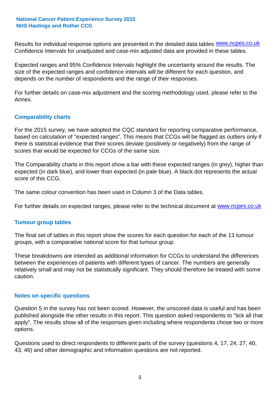Results for individual response options are presented in the detailed data tables **WWW.ncpes.co.uk** Confidence Intervals for unadjusted and case-mix adjusted data are provided in these tables.

Expected ranges and 95% Confidence Intervals highlight the uncertainty around the results. The size of the expected ranges and confidence intervals will be different for each question, and depends on the number of respondents and the range of their responses.

For further details on case-mix adjustment and the scoring methodology used, please refer to the Annex.

## **Comparability charts**

For the 2015 survey, we have adopted the CQC standard for reporting comparative performance, based on calculation of "expected ranges". This means that CCGs will be flagged as outliers only if there is statistical evidence that their scores deviate (positively or negatively) from the range of scores that would be expected for CCGs of the same size.

The Comparability charts in this report show a bar with these expected ranges (in grey), higher than expected (in dark blue), and lower than expected (in pale blue). A black dot represents the actual score of this CCG.

The same colour convention has been used in Column 3 of the Data tables.

For further details on expected ranges, please refer to the technical document at **www.ncpes.co.uk** 

### **Tumour group tables**

The final set of tables in this report show the scores for each question for each of the 13 tumour groups, with a comparative national score for that tumour group.

These breakdowns are intended as additional information for CCGs to understand the differences between the experiences of patients with different types of cancer. The numbers are generally relatively small and may not be statistically significant. They should therefore be treated with some caution.

### **Notes on specific questions**

Question 5 in the survey has not been scored. However, the unscored data is useful and has been published alongside the other results in this report. This question asked respondents to "tick all that apply". The results show all of the responses given including where respondents chose two or more options.

Questions used to direct respondents to different parts of the survey (questions 4, 17, 24, 27, 40, 43, 46) and other demographic and information questions are not reported.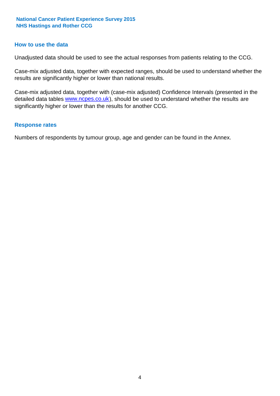### **How to use the data**

Unadjusted data should be used to see the actual responses from patients relating to the CCG.

Case-mix adjusted data, together with expected ranges, should be used to understand whether the results are significantly higher or lower than national results.

Case-mix adjusted data, together with (case-mix adjusted) Confidence Intervals (presented in the detailed data tables **www.ncpes.co.uk**), should be used to understand whether the results are significantly higher or lower than the results for another CCG.

#### **Response rates**

Numbers of respondents by tumour group, age and gender can be found in the Annex.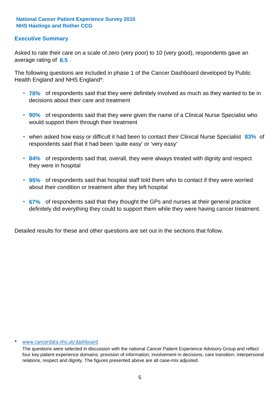# **Executive Summary**

average rating of 8.5. Asked to rate their care on a scale of zero (very poor) to 10 (very good), respondents gave an

The following questions are included in phase 1 of the Cancer Dashboard developed by Public Health England and NHS England\*:

- **78%** of respondents said that they were definitely involved as much as they wanted to be in decisions about their care and treatment
- **90%** of respondents said that they were given the name of a Clinical Nurse Specialist who would support them through their treatment
- when asked how easy or difficult it had been to contact their Clinical Nurse Specialist 83% of respondents said that it had been 'quite easy' or 'very easy'
- **84%** of respondents said that, overall, they were always treated with dignity and respect they were in hospital
- **95%** of respondents said that hospital staff told them who to contact if they were worried about their condition or treatment after they left hospital
- **67%** of respondents said that they thought the GPs and nurses at their general practice definitely did everything they could to support them while they were having cancer treatment.

Detailed results for these and other questions are set out in the sections that follow.

#### www.cancerdata.nhs.uk/dashboard

The questions were selected in discussion with the national Cancer Patient Experience Advisory Group and reflect four key patient experience domains: provision of information; involvement in decisions; care transition; interpersonal relations, respect and dignity. The figures presented above are all case-mix adjusted.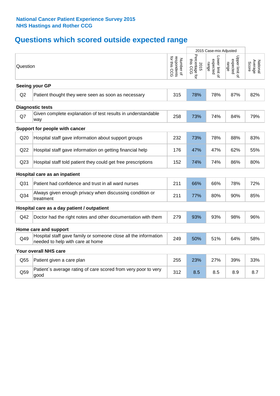# **Questions which scored outside expected range**

|                 |                                                                                                     |                                          |                                      | 2015 Case-mix Adjusted              |                                     |                              |
|-----------------|-----------------------------------------------------------------------------------------------------|------------------------------------------|--------------------------------------|-------------------------------------|-------------------------------------|------------------------------|
| Question        |                                                                                                     | respondents<br>for this CCG<br>Number of | Percentage for<br>ins<br>2015<br>CCG | Lower limit of<br>expected<br>range | Upper limit of<br>expected<br>range | Average<br>Score<br>National |
|                 | Seeing your GP                                                                                      |                                          |                                      |                                     |                                     |                              |
| Q <sub>2</sub>  | Patient thought they were seen as soon as necessary                                                 | 315                                      | 78%                                  | 78%                                 | 87%                                 | 82%                          |
|                 | <b>Diagnostic tests</b>                                                                             |                                          |                                      |                                     |                                     |                              |
| Q7              | Given complete explanation of test results in understandable<br>way                                 | 258                                      | 73%                                  | 74%                                 | 84%                                 | 79%                          |
|                 | Support for people with cancer                                                                      |                                          |                                      |                                     |                                     |                              |
| Q20             | Hospital staff gave information about support groups                                                | 232                                      | 73%                                  | 78%                                 | 88%                                 | 83%                          |
| Q22             | Hospital staff gave information on getting financial help                                           | 176                                      | 47%                                  | 47%                                 | 62%                                 | 55%                          |
| Q23             | Hospital staff told patient they could get free prescriptions                                       | 152                                      | 74%                                  | 74%                                 | 86%                                 | 80%                          |
|                 | Hospital care as an inpatient                                                                       |                                          |                                      |                                     |                                     |                              |
| Q <sub>31</sub> | Patient had confidence and trust in all ward nurses                                                 | 211                                      | 66%                                  | 66%                                 | 78%                                 | 72%                          |
| Q34             | Always given enough privacy when discussing condition or<br>treatment                               | 211                                      | 77%                                  | 80%                                 | 90%                                 | 85%                          |
|                 | Hospital care as a day patient / outpatient                                                         |                                          |                                      |                                     |                                     |                              |
| Q42             | Doctor had the right notes and other documentation with them                                        | 279                                      | 93%                                  | 93%                                 | 98%                                 | 96%                          |
|                 | Home care and support                                                                               |                                          |                                      |                                     |                                     |                              |
| Q49             | Hospital staff gave family or someone close all the information<br>needed to help with care at home | 249                                      | 50%                                  | 51%                                 | 64%                                 | 58%                          |
|                 | Your overall NHS care                                                                               |                                          |                                      |                                     |                                     |                              |
| Q55             | Patient given a care plan                                                                           | 255                                      | 23%                                  | 27%                                 | 39%                                 | 33%                          |
| Q59             | Patient's average rating of care scored from very poor to very<br>good                              | 312                                      | 8.5                                  | 8.5                                 | 8.9                                 | 8.7                          |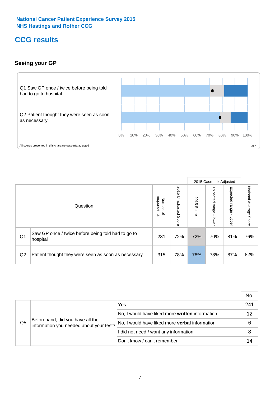# **CCG results**

# **Seeing your GP**



|    |                                                                |                                         |                             |               | 2015 Case-mix Adjusted     |                            |                        |
|----|----------------------------------------------------------------|-----------------------------------------|-----------------------------|---------------|----------------------------|----------------------------|------------------------|
|    | Question                                                       | respondents<br>Number<br>$\overline{a}$ | 2015<br>Unadjusted<br>Score | 2015<br>Score | Expected<br>range<br>lower | Expected<br>range<br>nbber | National Average Score |
| Q1 | Saw GP once / twice before being told had to go to<br>hospital | 231                                     | 72%                         | 72%           | 70%                        | 81%                        | 76%                    |
| Q2 | Patient thought they were seen as soon as necessary            | 315                                     | 78%                         | 78%           | 78%                        | 87%                        | 82%                    |

|                |                                                                             |                                                       | No. |
|----------------|-----------------------------------------------------------------------------|-------------------------------------------------------|-----|
|                | Beforehand, did you have all the<br>information you needed about your test? | Yes                                                   | 241 |
| Q <sub>5</sub> |                                                                             | No, I would have liked more written information       | 12  |
|                |                                                                             | No, I would have liked more <b>verbal</b> information | 6   |
|                |                                                                             | I did not need / want any information                 | 8   |
|                |                                                                             | Don't know / can't remember                           |     |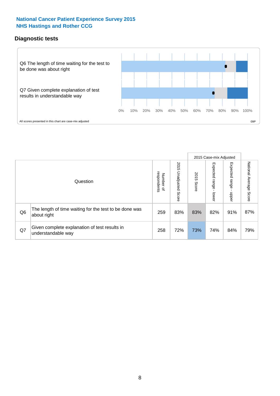# **Diagnostic tests**



|                |                                                                       |                                       |                             |               | 2015 Case-mix Adjusted  |                         |                           |
|----------------|-----------------------------------------------------------------------|---------------------------------------|-----------------------------|---------------|-------------------------|-------------------------|---------------------------|
|                | Question                                                              | respondents<br>Number<br>$\mathbf{Q}$ | 2015<br>Unadjusted<br>Score | 2015<br>Score | Expected range<br>lower | Expected range<br>nbber | National Average<br>Score |
| Q <sub>6</sub> | The length of time waiting for the test to be done was<br>about right | 259                                   | 83%                         | 83%           | 82%                     | 91%                     | 87%                       |
| Q7             | Given complete explanation of test results in<br>understandable way   | 258                                   | 72%                         | 73%           | 74%                     | 84%                     | 79%                       |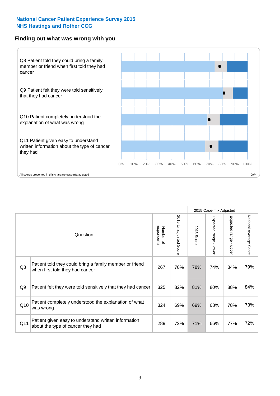## **Finding out what was wrong with you**



|                |                                                                                            |                                         |                       |               | 2015 Case-mix Adjusted |                                         |                        |
|----------------|--------------------------------------------------------------------------------------------|-----------------------------------------|-----------------------|---------------|------------------------|-----------------------------------------|------------------------|
|                | Question                                                                                   | respondents<br>Number<br>$\overline{a}$ | 2015 Unadjusted Score | 2015<br>Score | Expected range - lower | Expected range<br>$\mathbf{r}$<br>nbber | National Average Score |
| Q8             | Patient told they could bring a family member or friend<br>when first told they had cancer | 267                                     | 78%                   | 78%           | 74%                    | 84%                                     | 79%                    |
| Q <sub>9</sub> | Patient felt they were told sensitively that they had cancer                               | 325                                     | 82%                   | 81%           | 80%                    | 88%                                     | 84%                    |
| Q10            | Patient completely understood the explanation of what<br>was wrong                         | 324                                     | 69%                   | 69%           | 68%                    | 78%                                     | 73%                    |
| Q11            | Patient given easy to understand written information<br>about the type of cancer they had  | 289                                     | 72%                   | 71%           | 66%                    | 77%                                     | 72%                    |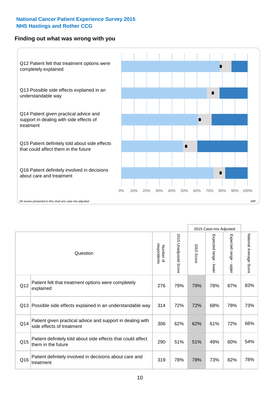# **Finding out what was wrong with you**



|          |                                                                                         |                          |                          |               | 2015 Case-mix Adjusted                    |                           |                        |
|----------|-----------------------------------------------------------------------------------------|--------------------------|--------------------------|---------------|-------------------------------------------|---------------------------|------------------------|
| Question |                                                                                         | respondents<br>Number of | 2015<br>Unadjusted Score | 2015<br>Score | Expected range<br>$\blacksquare$<br>lower | Expected range<br>- nbber | National Average Score |
| Q12      | Patient felt that treatment options were completely<br>explained                        | 276                      | 79%                      | 79%           | 78%                                       | 87%                       | 83%                    |
| Q13      | Possible side effects explained in an understandable way                                | 314                      | 72%                      | 72%           | 68%                                       | 78%                       | 73%                    |
| Q14      | Patient given practical advice and support in dealing with<br>side effects of treatment | 306                      | 62%                      | 62%           | 61%                                       | 72%                       | 66%                    |
| Q15      | Patient definitely told about side effects that could affect<br>them in the future      | 290                      | 51%                      | 51%           | 49%                                       | 60%                       | 54%                    |
| Q16      | Patient definitely involved in decisions about care and<br>treatment                    | 319                      | 78%                      | 78%           | 73%                                       | 82%                       | 78%                    |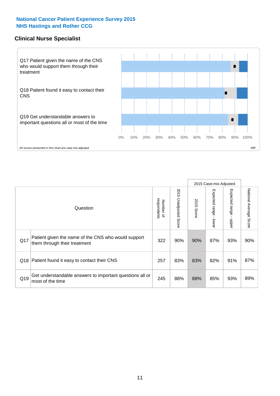## **Clinical Nurse Specialist**



|     |                                                                                     |                          |                       |               | 2015 Case-mix Adjusted  |                         |                                  |
|-----|-------------------------------------------------------------------------------------|--------------------------|-----------------------|---------------|-------------------------|-------------------------|----------------------------------|
|     | Question                                                                            | respondents<br>Number of | 2015 Unadjusted Score | 2015<br>Score | Expected range<br>lower | Expected range<br>nbber | National Average<br><b>Score</b> |
| Q17 | Patient given the name of the CNS who would support<br>them through their treatment | 322                      | 90%                   | 90%           | 87%                     | 93%                     | 90%                              |
| Q18 | Patient found it easy to contact their CNS                                          | 257                      | 83%                   | 83%           | 82%                     | 91%                     | 87%                              |
| Q19 | Get understandable answers to important questions all or<br>most of the time        | 245                      | 88%                   | 88%           | 85%                     | 93%                     | 89%                              |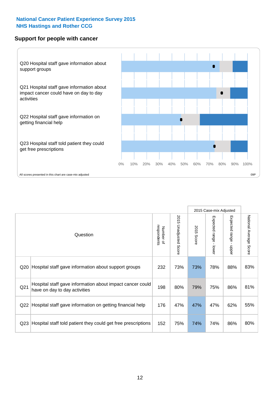## **Support for people with cancer**



2015 Case-mix Adjusted 2015 Unadjusted Score Expected range - lower Expected range - upper 2015 Unadjusted Score Expected range - upper Expected range - lower Number of<br>respondents respondents **2015 Score** 2015 Score Number of Question Q20 Hospital staff gave information about support groups  $\left( \begin{array}{c|c} 232 & 73\% & 73\% & 78\% & 83\% \end{array} \right)$ Q21 198 80% 79% 75% 86% Hospital staff gave information about impact cancer could have on day to day activities but about impact cancer could a stage in the set of the set of 81% and have on day to day activities Q22 Hospital staff gave information on getting financial help  $\left| 47\% \right| 47\%$  47%  $\left| 47\% \right| 62\%$  55% Q23 Hospital staff told patient they could get free prescriptions |  $152$  |  $75\%$  |  $74\%$  |  $74\%$  |  $86\%$  |  $80\%$ 

National Average Score

National Average Score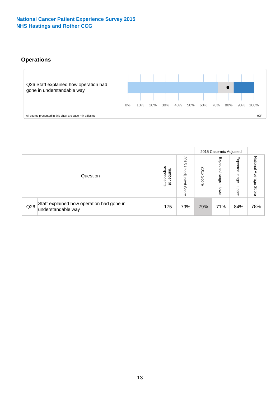# **Operations**



|     |                                                                 |                                              |                             |                   | 2015 Case-mix Adjusted     |                            |                              |
|-----|-----------------------------------------------------------------|----------------------------------------------|-----------------------------|-------------------|----------------------------|----------------------------|------------------------------|
|     | Question                                                        | respondents<br>Number<br>$\overline{\sigma}$ | 2015<br>Unadjusted<br>Score | 201<br>c<br>Score | Expected<br>range<br>lower | Expected<br>range<br>doper | National<br>Average<br>Score |
| Q26 | Staff explained how operation had gone in<br>understandable way | 175                                          | 79%                         | 79%               | 71%                        | 84%                        | 78%                          |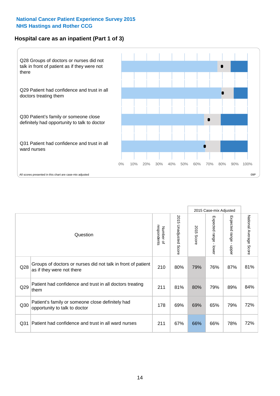# **Hospital care as an inpatient (Part 1 of 3)**



All scores presented in this chart are case-mix adjusted (99P) (99P) (99P) (99P) (99P) (99P) (99P) (99P) (99P) (99P) (99P) (99P) (99P) (99P) (99P) (99P) (99P) (99P) (99P) (99P) (99P) (99P) (99P) (99P) (99P) (99P) (99P) (99

|                 |                                                                                           |                          |                          |                      | 2015 Case-mix Adjusted                    |                                       |                        |
|-----------------|-------------------------------------------------------------------------------------------|--------------------------|--------------------------|----------------------|-------------------------------------------|---------------------------------------|------------------------|
|                 | Question                                                                                  | respondents<br>Number of | 2015<br>Unadjusted Score | 2015<br><b>Score</b> | Expected range<br>$\blacksquare$<br>lower | Expected range<br>$\mathbf{I}$<br>ddo | National Average Score |
| Q28             | Groups of doctors or nurses did not talk in front of patient<br>as if they were not there | 210                      | 80%                      | 79%                  | 76%                                       | 87%                                   | 81%                    |
| Q29             | Patient had confidence and trust in all doctors treating<br>them                          | 211                      | 81%                      | 80%                  | 79%                                       | 89%                                   | 84%                    |
| Q30             | Patient's family or someone close definitely had<br>opportunity to talk to doctor         | 178                      | 69%                      | 69%                  | 65%                                       | 79%                                   | 72%                    |
| Q <sub>31</sub> | Patient had confidence and trust in all ward nurses                                       | 211                      | 67%                      | 66%                  | 66%                                       | 78%                                   | 72%                    |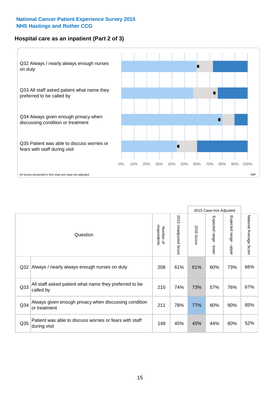# **Hospital care as an inpatient (Part 2 of 3)**



|                 |                                                                         |                          |                       |               | 2015 Case-mix Adjusted |                           |                           |
|-----------------|-------------------------------------------------------------------------|--------------------------|-----------------------|---------------|------------------------|---------------------------|---------------------------|
|                 | Question                                                                | respondents<br>Number of | 2015 Unadjusted Score | 2015<br>Score | Expected range - lower | Expected range -<br>nbber | National Average<br>Score |
| Q32             | Always / nearly always enough nurses on duty                            | 208                      | 61%                   | 61%           | 60%                    | 73%                       | 66%                       |
| Q <sub>33</sub> | All staff asked patient what name they preferred to be<br>called by     | 210                      | 74%                   | 73%           | 57%                    | 76%                       | 67%                       |
| Q <sub>34</sub> | Always given enough privacy when discussing condition<br>or treatment   | 211                      | 78%                   | 77%           | 80%                    | 90%                       | 85%                       |
| Q <sub>35</sub> | Patient was able to discuss worries or fears with staff<br>during visit | 148                      | 45%                   | 45%           | 44%                    | 60%                       | 52%                       |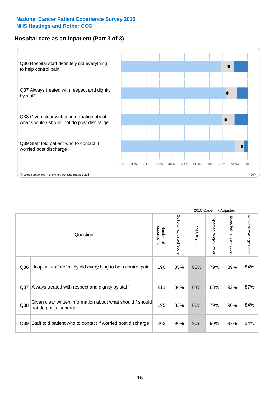# **Hospital care as an inpatient (Part 3 of 3)**



|                 |                                                                                     |                          |                                 |               | 2015 Case-mix Adjusted  |                        |                        |
|-----------------|-------------------------------------------------------------------------------------|--------------------------|---------------------------------|---------------|-------------------------|------------------------|------------------------|
|                 | Question                                                                            | respondents<br>Number of | 2015<br><b>Unadjusted Score</b> | 2015<br>Score | Expected range<br>lower | Expected range - upper | National Average Score |
| Q36             | Hospital staff definitely did everything to help control pain                       | 190                      | 85%                             | 85%           | 79%                     | 89%                    | 84%                    |
| Q <sub>37</sub> | Always treated with respect and dignity by staff                                    | 211                      | 84%                             | 84%           | 83%                     | 92%                    | 87%                    |
| Q38             | Given clear written information about what should / should<br>not do post discharge | 195                      | 83%                             | 82%           | 79%                     | 90%                    | 84%                    |
| Q39             | Staff told patient who to contact if worried post discharge                         | 202                      | 96%                             | 95%           | 90%                     | 97%                    | 94%                    |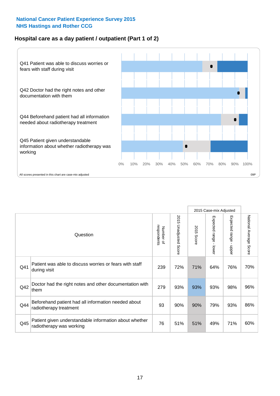# **Hospital care as a day patient / outpatient (Part 1 of 2)**



|     |                                                                                    |                          |                                 |                      | 2015 Case-mix Adjusted                    |                                         |                        |
|-----|------------------------------------------------------------------------------------|--------------------------|---------------------------------|----------------------|-------------------------------------------|-----------------------------------------|------------------------|
|     | Question                                                                           | respondents<br>Number of | 2015<br><b>Unadjusted Score</b> | 2015<br><b>Score</b> | Expected range<br>$\blacksquare$<br>lower | Expected range<br>$\mathbf{I}$<br>nbber | National Average Score |
| Q41 | Patient was able to discuss worries or fears with staff<br>during visit            | 239                      | 72%                             | 71%                  | 64%                                       | 76%                                     | 70%                    |
| Q42 | Doctor had the right notes and other documentation with<br>them                    | 279                      | 93%                             | 93%                  | 93%                                       | 98%                                     | 96%                    |
| Q44 | Beforehand patient had all information needed about<br>radiotherapy treatment      | 93                       | 90%                             | 90%                  | 79%                                       | 93%                                     | 86%                    |
| Q45 | Patient given understandable information about whether<br>radiotherapy was working | 76                       | 51%                             | 51%                  | 49%                                       | 71%                                     | 60%                    |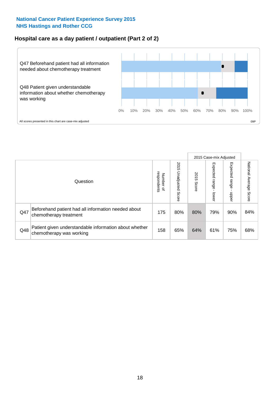# **Hospital care as a day patient / outpatient (Part 2 of 2)**



|     |                                                                                    |                                       | 2015 Case-mix Adjusted      |               |                         |                         |                           |
|-----|------------------------------------------------------------------------------------|---------------------------------------|-----------------------------|---------------|-------------------------|-------------------------|---------------------------|
|     | Question                                                                           | respondents<br>Number<br>$\mathbf{Q}$ | 2015<br>Unadjusted<br>Score | 2015<br>Score | Expected range<br>lower | Expected range<br>nbber | National Average<br>Score |
| Q47 | Beforehand patient had all information needed about<br>chemotherapy treatment      | 175                                   | 80%                         | 80%           | 79%                     | 90%                     | 84%                       |
| Q48 | Patient given understandable information about whether<br>chemotherapy was working | 158                                   | 65%                         | 64%           | 61%                     | 75%                     | 68%                       |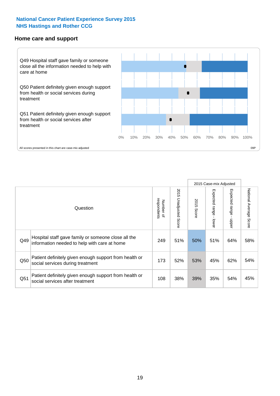#### **Home care and support**



All scores presented in this chart are case-mix adjusted

|                 |                                                                                                     |                          |                       |               | 2015 Case-mix Adjusted  |                         |                        |
|-----------------|-----------------------------------------------------------------------------------------------------|--------------------------|-----------------------|---------------|-------------------------|-------------------------|------------------------|
|                 | Question                                                                                            | respondents<br>Number of | 2015 Unadjusted Score | 2015<br>Score | Expected range<br>lower | Expected range<br>nbber | National Average Score |
| Q49             | Hospital staff gave family or someone close all the<br>information needed to help with care at home | 249                      | 51%                   | 50%           | 51%                     | 64%                     | 58%                    |
| Q50             | Patient definitely given enough support from health or<br>social services during treatment          | 173                      | 52%                   | 53%           | 45%                     | 62%                     | 54%                    |
| Q <sub>51</sub> | Patient definitely given enough support from health or<br>social services after treatment           | 108                      | 38%                   | 39%           | 35%                     | 54%                     | 45%                    |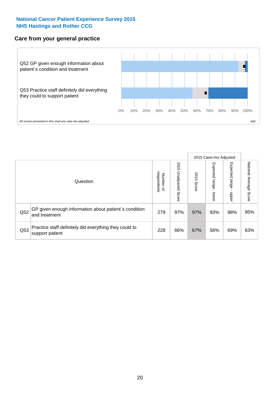# **Care from your general practice**



|     |                                                                           |                                       | 2015 Case-mix Adjusted      |               |                              |                         |                           |
|-----|---------------------------------------------------------------------------|---------------------------------------|-----------------------------|---------------|------------------------------|-------------------------|---------------------------|
|     | Question                                                                  | respondents<br>Number<br>$\mathbf{Q}$ | 2015<br>Unadjusted<br>Score | 2015<br>Score | Expected<br>I range<br>lower | Expected range<br>doper | National Average<br>Score |
| Q52 | GP given enough information about patient's condition<br>and treatment    | 279                                   | 97%                         | 97%           | 93%                          | 98%                     | 95%                       |
| Q53 | Practice staff definitely did everything they could to<br>support patient | 228                                   | 66%                         | 67%           | 56%                          | 69%                     | 63%                       |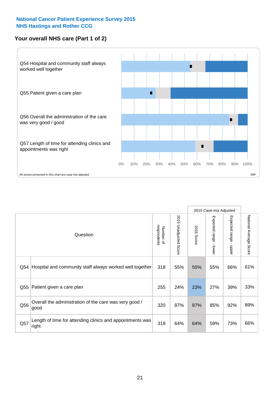# **Your overall NHS care (Part 1 of 2)**



|     |                                                                    |                          |                       |                      | 2015 Case-mix Adjusted                    |                                           |                        |
|-----|--------------------------------------------------------------------|--------------------------|-----------------------|----------------------|-------------------------------------------|-------------------------------------------|------------------------|
|     | Question                                                           | respondents<br>Number of | 2015 Unadjusted Score | 2015<br><b>Score</b> | Expected range<br>$\blacksquare$<br>lower | Expected range<br>$\blacksquare$<br>nbber | National Average Score |
| Q54 | Hospital and community staff always worked well together           | 318                      | 55%                   | 55%                  | 55%                                       | 66%                                       | 61%                    |
| Q55 | Patient given a care plan                                          | 255                      | 24%                   | 23%                  | 27%                                       | 39%                                       | 33%                    |
| Q56 | Overall the administration of the care was very good /<br>good     | 320                      | 87%                   | 87%                  | 85%                                       | 92%                                       | 89%                    |
| Q57 | Length of time for attending clinics and appointments was<br>right | 319                      | 64%                   | 64%                  | 59%                                       | 73%                                       | 66%                    |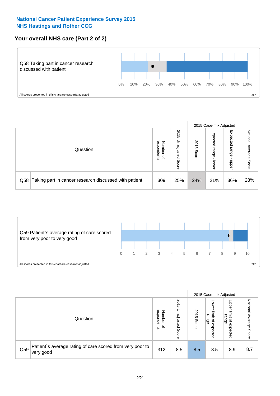# **Your overall NHS care (Part 2 of 2)**



|     |                                                       |                                              |                             |               |                            | 2015 Case-mix Adjusted     |                        |
|-----|-------------------------------------------------------|----------------------------------------------|-----------------------------|---------------|----------------------------|----------------------------|------------------------|
|     | Question                                              | respondents<br>Number<br>$\overline{\sigma}$ | 2015<br>Unadjusted<br>Score | 2015<br>Score | Expected<br>range<br>lower | Expected<br>range<br>doper | National Average Score |
| Q58 | Taking part in cancer research discussed with patient | 309                                          | 25%                         | 24%           | 21%                        | 36%                        | 28%                    |



|     |                                                                        |                                              |                             |               |                                                           | 2015 Case-mix Adjusted                                          |                        |
|-----|------------------------------------------------------------------------|----------------------------------------------|-----------------------------|---------------|-----------------------------------------------------------|-----------------------------------------------------------------|------------------------|
|     | Question                                                               | respondents<br>Number<br>$\overline{\sigma}$ | 2015<br>Unadjusted<br>Score | 2015<br>Score | OWer<br>limit<br>range<br>$\overline{\sigma}$<br>expected | Upper<br>limit<br>range<br>$\overline{\mathcal{C}}$<br>expected | National Average Score |
| Q59 | Patient's average rating of care scored from very poor to<br>very good | 312                                          | 8.5                         | 8.5           | 8.5                                                       | 8.9                                                             | 8.7                    |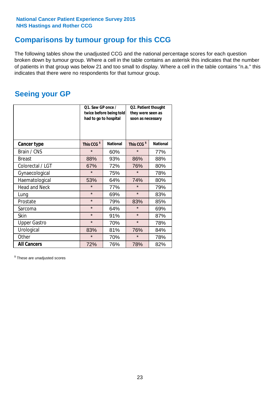# **Comparisons by tumour group for this CCG**

The following tables show the unadjusted CCG and the national percentage scores for each question broken down by tumour group. Where a cell in the table contains an asterisk this indicates that the number of patients in that group was below 21 and too small to display. Where a cell in the table contains "n.a." this indicates that there were no respondents for that tumour group.

# **Seeing your GP**

|                      | Q1. Saw GP once /<br>had to go to hospital | twice before being told | Q2. Patient thought<br>they were seen as<br>soon as necessary |                 |  |
|----------------------|--------------------------------------------|-------------------------|---------------------------------------------------------------|-----------------|--|
| <b>Cancer type</b>   | This CCG <sup>\$</sup>                     | <b>National</b>         | This CCG <sup>\$</sup>                                        | <b>National</b> |  |
| Brain / CNS          | $\star$                                    | 60%                     | $\star$                                                       | 77%             |  |
| <b>Breast</b>        | 88%                                        | 93%                     | 86%                                                           | 88%             |  |
| Colorectal / LGT     | 67%                                        | 72%                     | 76%                                                           | 80%             |  |
| Gynaecological       | $\star$                                    | 75%                     | $\star$                                                       | 78%             |  |
| Haematological       | 53%                                        | 64%                     | 74%                                                           | 80%             |  |
| <b>Head and Neck</b> | $\star$                                    | 77%                     | $\star$                                                       | 79%             |  |
| Lung                 | $\star$                                    | 69%                     | $\star$                                                       | 83%             |  |
| Prostate             | $\star$                                    | 79%                     | 83%                                                           | 85%             |  |
| Sarcoma              | $\star$                                    | 64%                     | $\star$                                                       | 69%             |  |
| Skin                 | $\star$                                    | 91%                     | $\star$                                                       | 87%             |  |
| <b>Upper Gastro</b>  | $\star$                                    | 70%                     | $\star$                                                       | 78%             |  |
| Urological           | 83%                                        | 81%                     | 76%                                                           | 84%             |  |
| Other                | $\star$                                    | 70%                     | $\star$                                                       | 78%             |  |
| <b>All Cancers</b>   | 72%                                        | 76%                     | 78%                                                           | 82%             |  |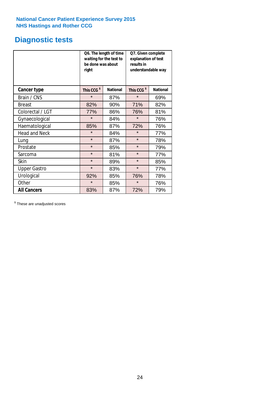# **Diagnostic tests**

|                      | be done was about<br>right | Q6. The length of time<br>waiting for the test to | Q7. Given complete<br>explanation of test<br>results in<br>understandable way |                 |  |
|----------------------|----------------------------|---------------------------------------------------|-------------------------------------------------------------------------------|-----------------|--|
| <b>Cancer type</b>   | This CCG <sup>\$</sup>     | <b>National</b>                                   | This CCG <sup>\$</sup>                                                        | <b>National</b> |  |
| Brain / CNS          | $\star$                    | 87%                                               | $\star$                                                                       | 69%             |  |
| <b>Breast</b>        | 82%                        | 90%                                               | 71%                                                                           | 82%             |  |
| Colorectal / LGT     | 77%                        | 86%                                               | 76%                                                                           | 81%             |  |
| Gynaecological       | $\star$                    | 84%                                               | $\star$                                                                       | 76%             |  |
| Haematological       | 85%                        | 87%                                               | 72%                                                                           | 76%             |  |
| <b>Head and Neck</b> | $\star$                    | 84%                                               | $\star$                                                                       | 77%             |  |
| Lung                 | $\star$                    | 87%                                               | $\star$                                                                       | 78%             |  |
| Prostate             | $\star$                    | 85%                                               | $\star$                                                                       | 79%             |  |
| Sarcoma              | $\star$                    | 81%                                               | $\star$                                                                       | 77%             |  |
| Skin                 | $\star$                    | 89%                                               | $\star$                                                                       | 85%             |  |
| <b>Upper Gastro</b>  | $\star$                    | 83%                                               | $\star$                                                                       | 77%             |  |
| Urological           | 92%                        | 85%                                               | 76%                                                                           | 78%             |  |
| Other                | $\star$<br>85%             |                                                   | $\star$                                                                       | 76%             |  |
| <b>All Cancers</b>   | 83%                        | 87%                                               | 72%                                                                           | 79%             |  |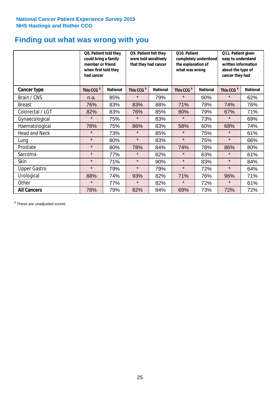# **Finding out what was wrong with you**

|                      | Q8. Patient told they<br>could bring a family<br>member or friend<br>when first told they<br>had cancer |                 | Q9. Patient felt they<br>were told sensitively<br>that they had cancer |                 | Q10. Patient<br>completely understood<br>the explanation of<br>what was wrong |                 | Q11. Patient given<br>easy to understand<br>written information<br>about the type of<br>cancer they had |                 |
|----------------------|---------------------------------------------------------------------------------------------------------|-----------------|------------------------------------------------------------------------|-----------------|-------------------------------------------------------------------------------|-----------------|---------------------------------------------------------------------------------------------------------|-----------------|
| Cancer type          | This CCG <sup>\$</sup>                                                                                  | <b>National</b> | This CCG <sup>\$</sup>                                                 | <b>National</b> | This CCG <sup>\$</sup>                                                        | <b>National</b> | This CCG <sup>\$</sup>                                                                                  | <b>National</b> |
| Brain / CNS          | n.a.                                                                                                    | 85%             | $\star$                                                                | 79%             | $\star$                                                                       | 60%             | $\star$                                                                                                 | 62%             |
| <b>Breast</b>        | 76%                                                                                                     | 83%             | 83%                                                                    | 88%             | 71%                                                                           | 78%             | 74%                                                                                                     | 76%             |
| Colorectal / LGT     | 82%                                                                                                     | 83%             | 76%                                                                    | 85%             | 80%                                                                           | 79%             | 67%                                                                                                     | 71%             |
| Gynaecological       | $\star$                                                                                                 | 75%             | $\star$                                                                | 83%             | $\star$                                                                       | 73%             | $\star$                                                                                                 | 69%             |
| Haematological       | 78%                                                                                                     | 75%             | 86%                                                                    | 83%             | 58%                                                                           | 60%             | 68%                                                                                                     | 74%             |
| <b>Head and Neck</b> | $\star$                                                                                                 | 73%             | $\star$                                                                | 85%             | $\star$                                                                       | 75%             | $\star$                                                                                                 | 61%             |
| Lung                 | $\star$                                                                                                 | 80%             | $\star$                                                                | 83%             | $\star$                                                                       | 75%             | $\star$                                                                                                 | 66%             |
| Prostate             | $\star$                                                                                                 | 80%             | 78%                                                                    | 84%             | 74%                                                                           | 78%             | 86%                                                                                                     | 80%             |
| Sarcoma              | $\star$                                                                                                 | 77%             | $\star$                                                                | 82%             | $\star$                                                                       | 63%             | $\star$                                                                                                 | 61%             |
| Skin                 | $\star$                                                                                                 | 71%             | $\star$                                                                | 90%             | $\star$                                                                       | 83%             | $\star$                                                                                                 | 84%             |
| <b>Upper Gastro</b>  | $\star$                                                                                                 | 79%             | $\star$                                                                | 79%             | $\star$                                                                       | 72%             | $\star$                                                                                                 | 64%             |
| Urological           | 88%                                                                                                     | 74%             | 93%                                                                    | 82%             | 71%                                                                           | 76%             | 96%                                                                                                     | 71%             |
| Other                | $\star$                                                                                                 | 77%             | $\star$                                                                | 82%             | $\star$                                                                       | 72%             | $\star$                                                                                                 | 61%             |
| <b>All Cancers</b>   | 78%                                                                                                     | 79%             | 82%                                                                    | 84%             | 69%                                                                           | 73%             | 72%                                                                                                     | 72%             |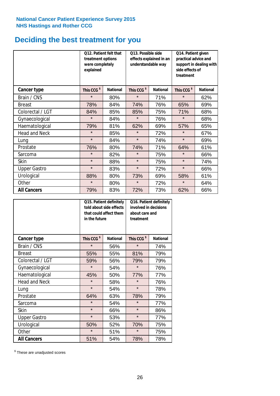# **Deciding the best treatment for you**

|                      | treatment options<br>were completely<br>explained | Q12. Patient felt that | Q13. Possible side<br>understandable way | effects explained in an | Q14. Patient given<br>practical advice and<br>support in dealing with<br>side effects of<br>treatment |                 |  |
|----------------------|---------------------------------------------------|------------------------|------------------------------------------|-------------------------|-------------------------------------------------------------------------------------------------------|-----------------|--|
| <b>Cancer type</b>   | This CCG <sup>\$</sup>                            | <b>National</b>        | This CCG <sup>\$</sup>                   | <b>National</b>         | This CCG <sup>\$</sup>                                                                                | <b>National</b> |  |
| Brain / CNS          | $\star$                                           | 80%                    | $\star$                                  | 71%                     | $\star$                                                                                               | 62%             |  |
| <b>Breast</b>        | 78%                                               | 84%                    | 74%                                      | 76%                     | 65%                                                                                                   | 69%             |  |
| Colorectal / LGT     | 84%                                               | 85%                    | 85%                                      | 75%                     | 71%                                                                                                   | 68%             |  |
| Gynaecological       | $\star$                                           | 84%                    | $\star$                                  | 76%                     | $\star$                                                                                               | 68%             |  |
| Haematological       | 79%                                               | 81%                    | 62%                                      | 69%                     | 57%                                                                                                   | 65%             |  |
| <b>Head and Neck</b> | $\star$                                           | 85%                    | $\star$                                  | 72%                     | $\star$                                                                                               | 67%             |  |
| Lung                 | $\star$                                           | 84%                    | $\star$                                  | 74%                     | $\star$                                                                                               | 69%             |  |
| Prostate             | 76%                                               | 80%                    | 74%                                      | 71%                     | 64%                                                                                                   | 61%             |  |
| Sarcoma              | $\star$                                           | 82%                    | $\star$                                  | 75%                     | $\star$                                                                                               | 66%             |  |
| Skin                 | $\star$                                           | 88%                    | $\star$                                  | 75%                     | $\star$                                                                                               | 74%             |  |
| <b>Upper Gastro</b>  | $\star$                                           | 83%                    | $\star$                                  | 72%                     | $\star$                                                                                               | 66%             |  |
| Urological           | 88%                                               | 80%                    | 73%                                      | 69%                     | 58%                                                                                                   | 61%             |  |
| Other                | $\star$                                           | 80%                    | $\star$                                  | 72%                     | $\star$                                                                                               | 64%             |  |
| <b>All Cancers</b>   | 79%                                               | 83%                    | 72%                                      | 73%                     | 62%                                                                                                   | 66%             |  |

|                      | in the future          | Q15. Patient definitely<br>told about side effects<br>that could affect them | Q16. Patient definitely<br>involved in decisions<br>about care and<br>treatment |                 |  |
|----------------------|------------------------|------------------------------------------------------------------------------|---------------------------------------------------------------------------------|-----------------|--|
| <b>Cancer type</b>   | This CCG <sup>\$</sup> | <b>National</b>                                                              | This CCG <sup>\$</sup>                                                          | <b>National</b> |  |
| Brain / CNS          | $\star$                | 56%                                                                          | $\star$                                                                         | 74%             |  |
| <b>Breast</b>        | 55%                    | 55%                                                                          | 81%                                                                             | 79%             |  |
| Colorectal / LGT     | 59%                    | 56%                                                                          | 79%                                                                             | 79%             |  |
| Gynaecological       | $\star$                | 54%                                                                          | $\star$                                                                         | 76%             |  |
| Haematological       | 50%<br>45%             |                                                                              | 77%                                                                             | 77%             |  |
| <b>Head and Neck</b> | $\star$                | 58%                                                                          | $\star$                                                                         | 76%             |  |
| Lung                 | $\star$                | 54%                                                                          | $\star$                                                                         | 78%             |  |
| Prostate             | 64%                    | 63%                                                                          | 78%                                                                             | 79%             |  |
| Sarcoma              | $\star$                | 54%                                                                          | $\star$                                                                         | 77%             |  |
| Skin                 | $\star$                | 66%                                                                          | $\star$                                                                         | 86%             |  |
| <b>Upper Gastro</b>  | $\star$                | 53%                                                                          | $\star$                                                                         | 77%             |  |
| Urological           | 50%                    | 52%                                                                          | 70%                                                                             | 75%             |  |
| Other                | $\star$                | 51%                                                                          | $\star$                                                                         | 75%             |  |
| <b>All Cancers</b>   | 51%                    | 54%                                                                          | 78%                                                                             | 78%             |  |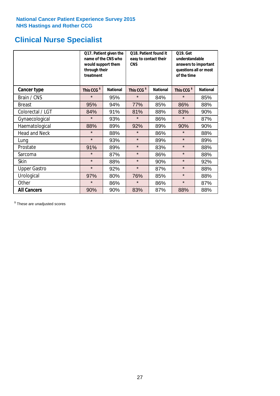# **Clinical Nurse Specialist**

|                      | would support them<br>through their<br>treatment | Q17. Patient given the<br>name of the CNS who | Q18. Patient found it<br>easy to contact their<br><b>CNS</b> |                 | <b>Q19. Get</b><br>understandable<br>answers to important<br>questions all or most<br>of the time |                 |  |
|----------------------|--------------------------------------------------|-----------------------------------------------|--------------------------------------------------------------|-----------------|---------------------------------------------------------------------------------------------------|-----------------|--|
| <b>Cancer type</b>   | This CCG <sup>\$</sup>                           | <b>National</b>                               | This CCG <sup>\$</sup>                                       | <b>National</b> | This CCG <sup>\$</sup>                                                                            | <b>National</b> |  |
| Brain / CNS          | $\star$                                          | 95%                                           | $\star$                                                      | 84%             | $\star$                                                                                           | 85%             |  |
| <b>Breast</b>        | 95%                                              | 94%                                           | 77%                                                          | 85%             | 86%                                                                                               | 88%             |  |
| Colorectal / LGT     | 84%                                              | 91%                                           | 81%                                                          | 88%             | 83%                                                                                               | 90%             |  |
| Gynaecological       | $\star$                                          | 93%                                           | $\star$                                                      | 86%             | $\star$                                                                                           | 87%             |  |
| Haematological       | 88%                                              | 89%                                           | 92%                                                          | 89%             | 90%                                                                                               | 90%             |  |
| <b>Head and Neck</b> | $\star$                                          | 88%                                           | $\star$                                                      | 86%             | $\star$                                                                                           | 88%             |  |
| Lung                 | $\star$                                          | 93%                                           | $\star$                                                      | 89%             | $\star$                                                                                           | 89%             |  |
| Prostate             | 91%                                              | 89%                                           | $\star$                                                      | 83%             | $\star$                                                                                           | 88%             |  |
| Sarcoma              | $\star$                                          | 87%                                           | $\star$                                                      | 86%             | $\star$                                                                                           | 88%             |  |
| Skin                 | $\star$                                          | 88%                                           | $\star$                                                      | 90%             | $\star$                                                                                           | 92%             |  |
| <b>Upper Gastro</b>  | $\star$                                          | 92%                                           | $\star$                                                      | 87%             | $\star$                                                                                           | 88%             |  |
| Urological           | 97%                                              | 80%                                           | 76%                                                          | 85%             | $\star$                                                                                           | 88%             |  |
| Other                | $\star$                                          | 86%                                           | $\star$                                                      | 86%             | $\star$                                                                                           | 87%             |  |
| <b>All Cancers</b>   | 90%                                              | 90%                                           | 83%                                                          | 87%             | 88%                                                                                               | 88%             |  |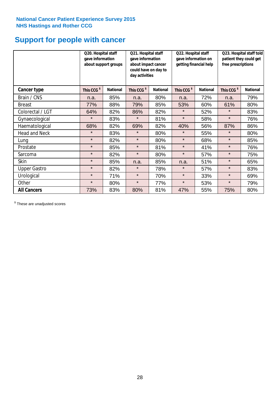# **Support for people with cancer**

|                      |                        | Q20. Hospital staff<br>gave information<br>about support groups |                        | Q21. Hospital staff<br>gave information<br>about impact cancer<br>could have on day to<br>day activities |                        | Q22. Hospital staff<br>gave information on<br>getting financial help |                        | Q23. Hospital staff told<br>patient they could get<br>free prescriptions |  |
|----------------------|------------------------|-----------------------------------------------------------------|------------------------|----------------------------------------------------------------------------------------------------------|------------------------|----------------------------------------------------------------------|------------------------|--------------------------------------------------------------------------|--|
| <b>Cancer type</b>   | This CCG <sup>\$</sup> | <b>National</b>                                                 | This CCG <sup>\$</sup> | <b>National</b>                                                                                          | This CCG <sup>\$</sup> | <b>National</b>                                                      | This CCG <sup>\$</sup> | <b>National</b>                                                          |  |
| Brain / CNS          | n.a.                   | 85%                                                             | n.a.                   | 80%                                                                                                      | n.a.                   | 72%                                                                  | n.a.                   | 79%                                                                      |  |
| <b>Breast</b>        | 77%                    | 88%                                                             | 79%                    | 85%                                                                                                      | 53%                    | 60%                                                                  | 61%                    | 80%                                                                      |  |
| Colorectal / LGT     | 64%                    | 82%                                                             | 86%                    | 82%                                                                                                      | $\star$                | 52%                                                                  | $\star$                | 83%                                                                      |  |
| Gynaecological       | $\star$                | 83%                                                             | $\star$                | 81%                                                                                                      | $\star$                | 58%                                                                  | $\star$                | 76%                                                                      |  |
| Haematological       | 68%                    | 82%                                                             | 69%                    | 82%                                                                                                      | 40%                    | 56%                                                                  | 87%                    | 86%                                                                      |  |
| <b>Head and Neck</b> | $\star$                | 83%                                                             | $\star$                | 80%                                                                                                      | $\star$                | 55%                                                                  | $\star$                | 80%                                                                      |  |
| Lung                 | $\star$                | 82%                                                             | $\star$                | 80%                                                                                                      | $\star$                | 68%                                                                  | $\star$                | 85%                                                                      |  |
| Prostate             | $\star$                | 85%                                                             | $\star$                | 81%                                                                                                      | $\star$                | 41%                                                                  | $\star$                | 76%                                                                      |  |
| Sarcoma              | $\star$                | 82%                                                             | $\star$                | 80%                                                                                                      | $\star$                | 57%                                                                  | $\star$                | 75%                                                                      |  |
| Skin                 | $\star$                | 85%                                                             | n.a.                   | 85%                                                                                                      | n.a.                   | 51%                                                                  | $\star$                | 65%                                                                      |  |
| <b>Upper Gastro</b>  | $\star$                | 82%                                                             | $\star$                | 78%                                                                                                      | $\star$                | 57%                                                                  | $\star$                | 83%                                                                      |  |
| Urological           | $\star$                | 71%                                                             | $\star$                | 70%                                                                                                      | $\star$                | 33%                                                                  | $\star$                | 69%                                                                      |  |
| Other                | $\star$                | 80%                                                             | $\star$                | 77%                                                                                                      | $\star$                | 53%                                                                  | $\star$                | 79%                                                                      |  |
| <b>All Cancers</b>   | 73%                    | 83%                                                             | 80%                    | 81%                                                                                                      | 47%                    | 55%                                                                  | 75%                    | 80%                                                                      |  |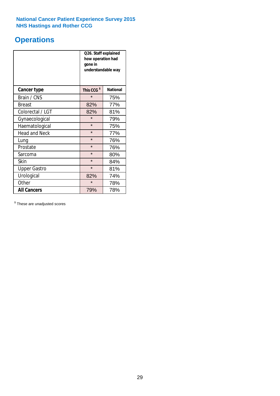# **Operations**

|                      | Q26. Staff explained<br>how operation had<br>gone in<br>understandable way |                 |  |  |
|----------------------|----------------------------------------------------------------------------|-----------------|--|--|
| <b>Cancer type</b>   | This CCG <sup>\$</sup>                                                     | <b>National</b> |  |  |
| Brain / CNS          | $\star$                                                                    | 75%             |  |  |
| <b>Breast</b>        | 82%                                                                        | 77%             |  |  |
| Colorectal / LGT     | 82%                                                                        | 81%             |  |  |
| Gynaecological       | $\star$                                                                    | 79%             |  |  |
| Haematological       | $\star$                                                                    | 75%             |  |  |
| <b>Head and Neck</b> | $\star$                                                                    | 77%             |  |  |
| Lung                 | $\star$                                                                    | 76%             |  |  |
| Prostate             | $\star$                                                                    | 76%             |  |  |
| Sarcoma              | $\star$                                                                    | 80%             |  |  |
| Skin                 | $\star$                                                                    | 84%             |  |  |
| <b>Upper Gastro</b>  | $\star$                                                                    | 81%             |  |  |
| Urological           | 82%                                                                        | 74%             |  |  |
| Other                | $\star$                                                                    | 78%             |  |  |
| <b>All Cancers</b>   | 79%                                                                        | 78%             |  |  |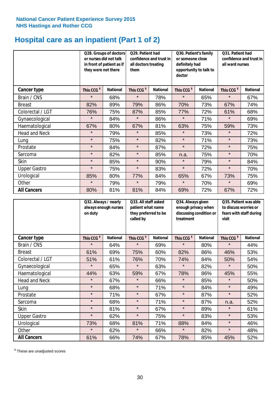# **Hospital care as an inpatient (Part 1 of 2)**

|                      |                        | Q28. Groups of doctors<br>Q29. Patient had<br>or nurses did not talk<br>confidence and trust in<br>in front of patient as if<br>all doctors treating<br>they were not there<br>them |                        | Q30. Patient's family<br>or someone close<br>definitely had<br>opportunity to talk to<br>doctor |                        | Q31. Patient had<br>confidence and trust in I<br>all ward nurses |                        |                 |
|----------------------|------------------------|-------------------------------------------------------------------------------------------------------------------------------------------------------------------------------------|------------------------|-------------------------------------------------------------------------------------------------|------------------------|------------------------------------------------------------------|------------------------|-----------------|
| Cancer type          | This CCG <sup>\$</sup> | <b>National</b>                                                                                                                                                                     | This CCG <sup>\$</sup> | <b>National</b>                                                                                 | This CCG <sup>\$</sup> | <b>National</b>                                                  | This CCG <sup>\$</sup> | <b>National</b> |
| Brain / CNS          | $\star$                | 68%                                                                                                                                                                                 | $\star$                | 78%                                                                                             | $\star$                | 65%                                                              | $\star$                | 67%             |
| <b>Breast</b>        | 82%                    | 89%                                                                                                                                                                                 | 79%                    | 86%                                                                                             | 70%                    | 73%                                                              | 67%                    | 74%             |
| Colorectal / LGT     | 76%                    | 75%                                                                                                                                                                                 | 87%                    | 85%                                                                                             | 77%                    | 72%                                                              | 61%                    | 68%             |
| Gynaecological       | $\star$                | 84%                                                                                                                                                                                 | $\star$                | 86%                                                                                             | $\star$                | 71%                                                              | $\star$                | 69%             |
| Haematological       | 67%                    | 80%                                                                                                                                                                                 | 67%                    | 81%                                                                                             | 63%                    | 75%                                                              | 59%                    | 73%             |
| <b>Head and Neck</b> | $\star$                | 79%                                                                                                                                                                                 | $\star$                | 85%                                                                                             | $\star$                | 73%                                                              | $\star$                | 72%             |
| Lung                 | $\star$                | 75%                                                                                                                                                                                 | $\star$                | 82%                                                                                             | $\star$                | 71%                                                              | $\star$                | 73%             |
| Prostate             | $\star$                | 84%                                                                                                                                                                                 | $\star$                | 87%                                                                                             | $\star$                | 72%                                                              | $\star$                | 75%             |
| Sarcoma              | $\star$                | 82%                                                                                                                                                                                 | $\star$                | 85%                                                                                             | n.a.                   | 75%                                                              | $\star$                | 70%             |
| Skin                 | $\star$                | 85%                                                                                                                                                                                 | $\star$                | 90%                                                                                             | $\star$                | 79%                                                              | $\star$                | 84%             |
| <b>Upper Gastro</b>  | $\star$                | 75%                                                                                                                                                                                 | $\star$                | 83%                                                                                             | $\star$                | 72%                                                              | $\star$                | 70%             |
| Urological           | 85%                    | 80%                                                                                                                                                                                 | 77%                    | 84%                                                                                             | 65%                    | 67%                                                              | 73%                    | 75%             |
| Other                | $\star$                | 79%                                                                                                                                                                                 | $\star$                | 79%                                                                                             | $\star$                | 70%                                                              | $\star$                | 69%             |
| <b>All Cancers</b>   | 80%                    | 81%                                                                                                                                                                                 | 81%                    | 84%                                                                                             | 69%                    | 72%                                                              | 67%                    | 72%             |

|                      | Q32. Always / nearly<br>always enough nurses<br>on duty |                 | Q33. All staff asked<br>patient what name<br>they preferred to be<br>called by |                 | Q34. Always given<br>enough privacy when<br>discussing condition or<br>treatment |                 | Q35. Patient was able<br>to discuss worries or<br>fears with staff during<br>visit |                 |
|----------------------|---------------------------------------------------------|-----------------|--------------------------------------------------------------------------------|-----------------|----------------------------------------------------------------------------------|-----------------|------------------------------------------------------------------------------------|-----------------|
| <b>Cancer type</b>   | This CCG <sup>\$</sup>                                  | <b>National</b> | This CCG <sup>\$</sup>                                                         | <b>National</b> | This CCG <sup>\$</sup>                                                           | <b>National</b> | This CCG <sup>\$</sup>                                                             | <b>National</b> |
| Brain / CNS          | $\star$                                                 | 64%             | $\star$                                                                        | 69%             | $\star$                                                                          | 80%             | $\star$                                                                            | 44%             |
| <b>Breast</b>        | 61%                                                     | 69%             | 75%                                                                            | 60%             | 82%                                                                              | 86%             | 46%                                                                                | 53%             |
| Colorectal / LGT     | 51%                                                     | 61%             | 76%                                                                            | 70%             | 74%                                                                              | 84%             | 50%                                                                                | 54%             |
| Gynaecological       | $\star$                                                 | 65%             | $\star$                                                                        | 63%             | $\star$                                                                          | 82%             | $\star$                                                                            | 50%             |
| Haematological       | 44%                                                     | 63%             | 59%                                                                            | 67%             | 78%                                                                              | 86%             | 45%                                                                                | 55%             |
| <b>Head and Neck</b> | $\star$                                                 | 67%             | $\star$                                                                        | 66%             | $\star$                                                                          | 85%             | $\star$                                                                            | 50%             |
| Lung                 | $\star$                                                 | 68%             | $\star$                                                                        | 71%             | $\star$                                                                          | 84%             | $\star$                                                                            | 49%             |
| Prostate             | $\star$                                                 | 71%             | $\star$                                                                        | 67%             | $\star$                                                                          | 87%             | $\star$                                                                            | 52%             |
| Sarcoma              | $\star$                                                 | 68%             | $\star$                                                                        | 71%             | $\star$                                                                          | 87%             | n.a.                                                                               | 52%             |
| Skin                 | $\star$                                                 | 81%             | $\star$                                                                        | 67%             | $\star$                                                                          | 89%             | $\star$                                                                            | 61%             |
| <b>Upper Gastro</b>  | $\star$                                                 | 62%             | $\star$                                                                        | 75%             | $\star$                                                                          | 83%             | $\star$                                                                            | 53%             |
| Urological           | 73%                                                     | 68%             | 81%                                                                            | 71%             | 88%                                                                              | 84%             | $\star$                                                                            | 46%             |
| Other                | $\star$                                                 | 62%             | $\star$                                                                        | 66%             | $\star$                                                                          | 82%             | $\star$                                                                            | 48%             |
| <b>All Cancers</b>   | 61%                                                     | 66%             | 74%                                                                            | 67%             | 78%                                                                              | 85%             | 45%                                                                                | 52%             |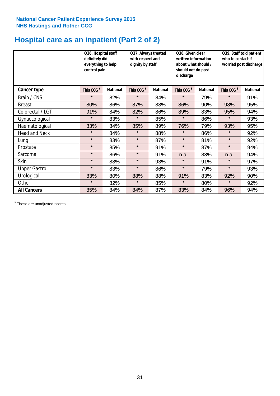# **Hospital care as an inpatient (Part 2 of 2)**

|                      | Q36. Hospital staff<br>definitely did<br>everything to help<br>control pain |                 | Q37. Always treated<br>with respect and<br>dignity by staff |                 | Q38. Given clear<br>written information<br>about what should /<br>should not do post<br>discharge |                 | Q39. Staff told patient<br>who to contact if<br>worried post discharge |                 |
|----------------------|-----------------------------------------------------------------------------|-----------------|-------------------------------------------------------------|-----------------|---------------------------------------------------------------------------------------------------|-----------------|------------------------------------------------------------------------|-----------------|
| Cancer type          | This CCG <sup>\$</sup>                                                      | <b>National</b> | This CCG <sup>\$</sup>                                      | <b>National</b> | This CCG <sup>\$</sup>                                                                            | <b>National</b> | This CCG <sup>\$</sup>                                                 | <b>National</b> |
| Brain / CNS          | $\star$                                                                     | 82%             | $\star$                                                     | 84%             | $\star$                                                                                           | 79%             | $\star$                                                                | 91%             |
| <b>Breast</b>        | 80%                                                                         | 86%             | 87%                                                         | 88%             | 86%                                                                                               | 90%             | 98%                                                                    | 95%             |
| Colorectal / LGT     | 91%                                                                         | 84%             | 82%                                                         | 86%             | 89%                                                                                               | 83%             | 95%                                                                    | 94%             |
| Gynaecological       | $\star$                                                                     | 83%             | $\star$                                                     | 85%             | $\star$                                                                                           | 86%             | $\star$                                                                | 93%             |
| Haematological       | 83%                                                                         | 84%             | 85%                                                         | 89%             | 76%                                                                                               | 79%             | 93%                                                                    | 95%             |
| <b>Head and Neck</b> | $\star$                                                                     | 84%             | $\star$                                                     | 88%             | $\star$                                                                                           | 86%             | $\star$                                                                | 92%             |
| Lung                 | $\star$                                                                     | 83%             | $\star$                                                     | 87%             | $\star$                                                                                           | 81%             | $\star$                                                                | 92%             |
| Prostate             | $\star$                                                                     | 85%             | $\star$                                                     | 91%             | $\star$                                                                                           | 87%             | $\star$                                                                | 94%             |
| Sarcoma              | $\star$                                                                     | 86%             | $\star$                                                     | 91%             | n.a.                                                                                              | 83%             | n.a.                                                                   | 94%             |
| Skin                 | $\star$                                                                     | 88%             | $\star$                                                     | 93%             | $\star$                                                                                           | 91%             | $\star$                                                                | 97%             |
| <b>Upper Gastro</b>  | $\star$                                                                     | 83%             | $\star$                                                     | 86%             | $\star$                                                                                           | 79%             | $\star$                                                                | 93%             |
| Urological           | 83%                                                                         | 80%             | 88%                                                         | 88%             | 91%                                                                                               | 83%             | 92%                                                                    | 90%             |
| Other                | $\star$                                                                     | 82%             | $\star$                                                     | 85%             | $\star$                                                                                           | 80%             | $\star$                                                                | 92%             |
| <b>All Cancers</b>   | 85%                                                                         | 84%             | 84%                                                         | 87%             | 83%                                                                                               | 84%             | 96%                                                                    | 94%             |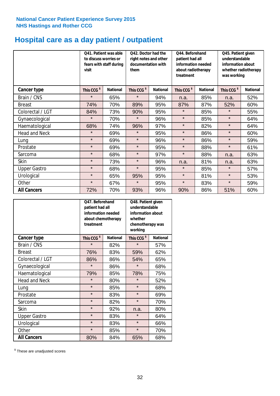# **Hospital care as a day patient / outpatient**

|                      | to discuss worries or<br>visit | Q41. Patient was able<br>fears with staff during | Q42. Doctor had the<br>right notes and other<br>documentation with<br>them |                 | Q44. Beforehand<br>patient had all<br>information needed<br>about radiotherapy<br>treatment |                 | Q45. Patient given<br>understandable<br>information about<br>whether radiotherapy<br>was working |                 |
|----------------------|--------------------------------|--------------------------------------------------|----------------------------------------------------------------------------|-----------------|---------------------------------------------------------------------------------------------|-----------------|--------------------------------------------------------------------------------------------------|-----------------|
| Cancer type          | This CCG <sup>\$</sup>         | <b>National</b>                                  | This CCG <sup>\$</sup>                                                     | <b>National</b> | This CCG <sup>\$</sup>                                                                      | <b>National</b> | This CCG <sup>\$</sup>                                                                           | <b>National</b> |
| Brain / CNS          | $\star$                        | 65%                                              | $\star$                                                                    | 94%             | n.a.                                                                                        | 85%             | n.a.                                                                                             | 52%             |
| <b>Breast</b>        | 74%                            | 70%                                              | 89%                                                                        | 95%             | 87%                                                                                         | 87%             | 52%                                                                                              | 60%             |
| Colorectal / LGT     | 84%                            | 73%                                              | 90%                                                                        | 95%             | $\star$                                                                                     | 85%             | $\star$                                                                                          | 55%             |
| Gynaecological       | $\star$                        | 70%                                              | $\star$                                                                    | 96%             | $\star$                                                                                     | 85%             | $\star$                                                                                          | 64%             |
| Haematological       | 68%                            | 74%                                              | 96%                                                                        | 97%             | $\star$                                                                                     | 82%             | $\star$                                                                                          | 64%             |
| <b>Head and Neck</b> | $\star$                        | 69%                                              | $\star$                                                                    | 95%             | $\star$                                                                                     | 86%             | $\star$                                                                                          | 60%             |
| Lung                 | $\star$                        | 69%                                              | $\star$                                                                    | 96%             | $\star$                                                                                     | 86%             | $\star$                                                                                          | 59%             |
| Prostate             | $\star$                        | 69%                                              | $\star$                                                                    | 95%             | $\star$                                                                                     | 88%             | $\star$                                                                                          | 61%             |
| Sarcoma              | $\star$                        | 68%                                              | $\star$                                                                    | 97%             | $\star$                                                                                     | 88%             | n.a.                                                                                             | 63%             |
| Skin                 | $\star$                        | 73%                                              | $\star$                                                                    | 96%             | n.a.                                                                                        | 81%             | n.a.                                                                                             | 63%             |
| <b>Upper Gastro</b>  | $\star$                        | 68%                                              | $\star$                                                                    | 95%             | $\star$                                                                                     | 85%             | $\star$                                                                                          | 57%             |
| Urological           | $\star$                        | 65%                                              | 95%                                                                        | 95%             | $\star$                                                                                     | 81%             | $\star$                                                                                          | 53%             |
| Other                | $\star$                        | 67%                                              | $\star$                                                                    | 95%             | $\star$                                                                                     | 83%             | $\star$                                                                                          | 59%             |
| <b>All Cancers</b>   | 72%                            | 70%                                              | 93%                                                                        | 96%             | 90%                                                                                         | 86%             | 51%                                                                                              | 60%             |

|                      | O47. Beforehand<br>patient had all<br>information needed<br>about chemotherapy<br>treatment |                 | Q48. Patient given<br>understandable<br>information about<br>whether<br>chemotherapy was<br>working |                 |  |
|----------------------|---------------------------------------------------------------------------------------------|-----------------|-----------------------------------------------------------------------------------------------------|-----------------|--|
| <b>Cancer type</b>   | This CCG <sup>\$</sup>                                                                      | <b>National</b> | This CCG <sup>\$</sup>                                                                              | <b>National</b> |  |
| Brain / CNS          | $\star$                                                                                     | 82%             | $\star$                                                                                             | 57%             |  |
| <b>Breast</b>        | 76%                                                                                         | 83%             | 59%                                                                                                 | 62%             |  |
| Colorectal / LGT     | 86%                                                                                         | 86%             | 54%                                                                                                 | 65%             |  |
| Gynaecological       | $\star$                                                                                     | 86%             | $\star$                                                                                             | 68%             |  |
| Haematological       | 79%                                                                                         | 85%             | 78%                                                                                                 | 75%             |  |
| <b>Head and Neck</b> | $\star$                                                                                     | 80%             | $\star$                                                                                             | 52%             |  |
| Lung                 | $\star$                                                                                     | 85%             | $\star$                                                                                             | 68%             |  |
| Prostate             | $\star$                                                                                     | 83%             | $\star$                                                                                             | 69%             |  |
| Sarcoma              | $\star$                                                                                     | 82%             | $\star$                                                                                             | 70%             |  |
| Skin                 | $\star$                                                                                     | 92%             | n.a.                                                                                                | 80%             |  |
| <b>Upper Gastro</b>  | $\star$                                                                                     | 83%             | $\star$                                                                                             | 64%             |  |
| Urological           | $\star$                                                                                     | 83%             | $\star$                                                                                             | 66%             |  |
| Other                | $\star$                                                                                     | 85%             | $\star$                                                                                             | 70%             |  |
| <b>All Cancers</b>   | 80%                                                                                         | 84%             | 65%                                                                                                 | 68%             |  |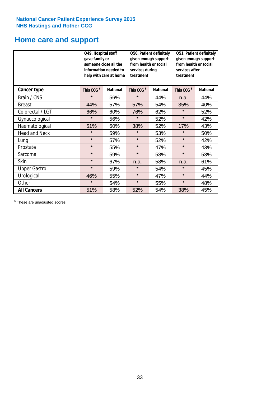# **Home care and support**

|                      | Q49. Hospital staff<br>gave family or | someone close all the<br>information needed to<br>help with care at home | Q50. Patient definitely<br>given enough support<br>from health or social<br>services during<br>treatment |                        | Q51. Patient definitely<br>given enough support<br>from health or social<br>services after<br>treatment |     |
|----------------------|---------------------------------------|--------------------------------------------------------------------------|----------------------------------------------------------------------------------------------------------|------------------------|---------------------------------------------------------------------------------------------------------|-----|
| <b>Cancer type</b>   | This CCG <sup>\$</sup>                | <b>National</b><br>This CCG <sup>\$</sup><br><b>National</b>             |                                                                                                          | This CCG <sup>\$</sup> | <b>National</b>                                                                                         |     |
| Brain / CNS          | $\star$                               | 56%                                                                      | $\star$                                                                                                  | 44%                    | n.a.                                                                                                    | 44% |
| <b>Breast</b>        | 44%                                   | 57%                                                                      | 57%                                                                                                      | 54%                    | 35%                                                                                                     | 40% |
| Colorectal / LGT     | 66%                                   | 60%                                                                      | 76%                                                                                                      | 62%                    | $\star$                                                                                                 | 52% |
| Gynaecological       | $\star$                               | 56%                                                                      | $\star$                                                                                                  | 52%                    | $\star$                                                                                                 | 42% |
| Haematological       | 51%                                   | 60%                                                                      | 38%                                                                                                      | 52%                    | 17%                                                                                                     | 43% |
| <b>Head and Neck</b> | $\star$                               | 59%                                                                      | $\star$                                                                                                  | 53%                    | $\star$                                                                                                 | 50% |
| Lung                 | $\star$                               | 57%                                                                      | $\star$                                                                                                  | 52%                    | $\star$                                                                                                 | 42% |
| Prostate             | $\star$                               | 55%                                                                      | $\star$                                                                                                  | 47%                    | $\star$                                                                                                 | 43% |
| Sarcoma              | $\star$                               | 59%                                                                      | $\star$                                                                                                  | 58%                    | $\star$                                                                                                 | 53% |
| Skin                 | $\star$                               | 67%                                                                      | n.a.                                                                                                     | 58%                    | n.a.                                                                                                    | 61% |
| <b>Upper Gastro</b>  | $\star$                               | 59%                                                                      | $\star$                                                                                                  | 54%                    | $\star$                                                                                                 | 45% |
| Urological           | 46%                                   | 55%                                                                      | $\star$                                                                                                  | 47%                    | $\star$                                                                                                 | 44% |
| Other                | $\star$                               | 54%                                                                      | $\star$                                                                                                  | 55%                    | $\star$                                                                                                 | 48% |
| <b>All Cancers</b>   | 51%                                   | 58%                                                                      | 52%                                                                                                      | 54%                    | 38%                                                                                                     | 45% |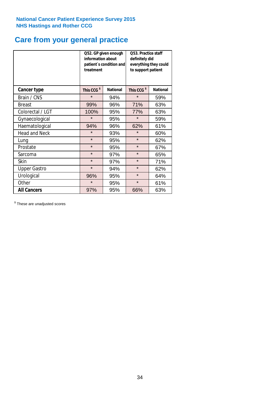# **Care from your general practice**

|                      | information about<br>treatment | Q52. GP given enough<br>patient's condition and | <b>O53. Practice staff</b><br>definitely did<br>everything they could<br>to support patient |                 |  |
|----------------------|--------------------------------|-------------------------------------------------|---------------------------------------------------------------------------------------------|-----------------|--|
| <b>Cancer type</b>   | This CCG <sup>\$</sup>         | <b>National</b>                                 | This CCG <sup>\$</sup>                                                                      | <b>National</b> |  |
| Brain / CNS          | $\star$                        | 94%                                             | $\star$                                                                                     | 59%             |  |
| <b>Breast</b>        | 99%                            | 96%                                             | 71%                                                                                         | 63%             |  |
| Colorectal / LGT     | 100%                           | 95%                                             | 77%                                                                                         | 63%             |  |
| Gynaecological       | $\star$                        | 95%                                             | $\star$                                                                                     | 59%             |  |
| Haematological       | 94%                            | 96%                                             | 62%                                                                                         | 61%             |  |
| <b>Head and Neck</b> | $\star$                        | 93%                                             | $\star$                                                                                     | 60%             |  |
| Lung                 | $\star$                        | 95%                                             | $\star$                                                                                     | 62%             |  |
| Prostate             | $\star$                        | 95%                                             | $\star$                                                                                     | 67%             |  |
| Sarcoma              | $\star$                        | 97%                                             | $\star$                                                                                     | 65%             |  |
| Skin                 | $\star$                        | 97%                                             | $\star$                                                                                     | 71%             |  |
| <b>Upper Gastro</b>  | $\star$                        | 94%                                             | $\star$                                                                                     | 62%             |  |
| Urological           | 96%                            | 95%                                             | $\star$                                                                                     | 64%             |  |
| Other                | $\star$                        | 95%                                             | $\star$                                                                                     | 61%             |  |
| <b>All Cancers</b>   | 97%                            | 95%                                             | 66%                                                                                         | 63%             |  |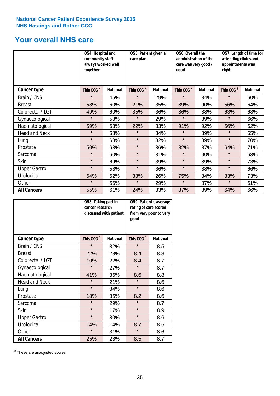# **Your overall NHS care**

|                      | Q54. Hospital and<br>community staff<br>always worked well<br>together |                 | Q55. Patient given a<br>care plan |                 | Q56. Overall the<br>administration of the<br>care was very good /<br>good |                 | Q57. Length of time for<br>attending clinics and<br>appointments was<br>right |                 |
|----------------------|------------------------------------------------------------------------|-----------------|-----------------------------------|-----------------|---------------------------------------------------------------------------|-----------------|-------------------------------------------------------------------------------|-----------------|
| Cancer type          | This CCG <sup>\$</sup>                                                 | <b>National</b> | This CCG <sup>\$</sup>            | <b>National</b> | This CCG <sup>\$</sup>                                                    | <b>National</b> | This CCG <sup>\$</sup>                                                        | <b>National</b> |
| Brain / CNS          | $\star$                                                                | 45%             | $\star$                           | 29%             | $\star$                                                                   | 84%             | $\star$                                                                       | 60%             |
| <b>Breast</b>        | 58%                                                                    | 60%             | 21%                               | 35%             | 89%                                                                       | 90%             | 56%                                                                           | 64%             |
| Colorectal / LGT     | 49%                                                                    | 60%             | 35%                               | 36%             | 86%                                                                       | 88%             | 63%                                                                           | 68%             |
| Gynaecological       | $\star$                                                                | 58%             | $\star$                           | 29%             | $\star$                                                                   | 89%             | $\star$                                                                       | 66%             |
| Haematological       | 59%                                                                    | 63%             | 22%                               | 33%             | 91%                                                                       | 92%             | 56%                                                                           | 62%             |
| <b>Head and Neck</b> | $\star$                                                                | 58%             | $\star$                           | 34%             | $\star$                                                                   | 89%             | $\star$                                                                       | 65%             |
| Lung                 | $\star$                                                                | 63%             | $\star$                           | 32%             | $\star$                                                                   | 89%             | $\star$                                                                       | 70%             |
| Prostate             | 50%                                                                    | 63%             | $\star$                           | 36%             | 82%                                                                       | 87%             | 64%                                                                           | 71%             |
| Sarcoma              | $\star$                                                                | 60%             | $\star$                           | 31%             | $\star$                                                                   | 90%             | $\star$                                                                       | 63%             |
| Skin                 | $\star$                                                                | 69%             | $\star$                           | 39%             | $\star$                                                                   | 89%             | $\star$                                                                       | 73%             |
| <b>Upper Gastro</b>  | $\star$                                                                | 58%             | $\star$                           | 36%             | $\star$                                                                   | 88%             | $\star$                                                                       | 66%             |
| Urological           | 64%                                                                    | 62%             | 38%                               | 26%             | 75%                                                                       | 84%             | 83%                                                                           | 73%             |
| Other                | $\star$                                                                | 56%             | $\star$                           | 29%             | $\star$                                                                   | 87%             | $\star$                                                                       | 61%             |
| <b>All Cancers</b>   | 55%                                                                    | 61%             | 24%                               | 33%             | 87%                                                                       | 89%             | 64%                                                                           | 66%             |

|                      | Q58. Taking part in<br>cancer research | discussed with patient | Q59. Patient's average<br>rating of care scored<br>from very poor to very<br>good |                 |  |
|----------------------|----------------------------------------|------------------------|-----------------------------------------------------------------------------------|-----------------|--|
| <b>Cancer type</b>   | This CCG <sup>\$</sup>                 | <b>National</b>        | This CCG <sup>\$</sup>                                                            | <b>National</b> |  |
| Brain / CNS          | $\star$                                | 32%                    | $\star$                                                                           | 8.5             |  |
| <b>Breast</b>        | 22%                                    | 28%                    | 8.4                                                                               | 8.8             |  |
| Colorectal / LGT     | 10%                                    | 22%                    | 8.4                                                                               | 8.7             |  |
| Gynaecological       | $\star$                                | 27%                    | $\star$                                                                           | 8.7             |  |
| Haematological       | 41%                                    | 36%                    | 8.6                                                                               | 8.8             |  |
| <b>Head and Neck</b> | $\star$                                | 21%                    | $\star$                                                                           | 8.6             |  |
| Lung                 | $\star$                                | 34%                    | $\star$                                                                           | 8.6             |  |
| Prostate             | 18%                                    | 35%                    | 8.2                                                                               | 8.6             |  |
| Sarcoma              | $\star$                                | 29%                    | $\star$                                                                           | 8.7             |  |
| Skin                 | $\star$                                | 17%                    | $\star$                                                                           | 8.9             |  |
| <b>Upper Gastro</b>  | $\star$                                | 30%                    | $\star$                                                                           | 8.6             |  |
| Urological           | 14%                                    | 14%                    | 8.7                                                                               | 8.5             |  |
| Other                | $\star$                                | 31%                    | $\star$                                                                           | 8.6             |  |
| <b>All Cancers</b>   | 25%                                    | 28%                    | 8.5                                                                               | 8.7             |  |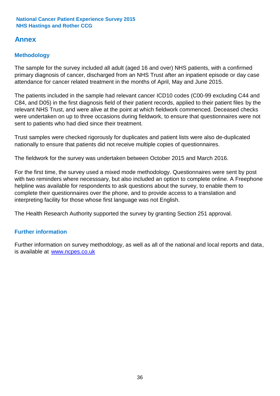# **Annex**

# **Methodology**

The sample for the survey included all adult (aged 16 and over) NHS patients, with a confirmed primary diagnosis of cancer, discharged from an NHS Trust after an inpatient episode or day case attendance for cancer related treatment in the months of April, May and June 2015.

The patients included in the sample had relevant cancer ICD10 codes (C00-99 excluding C44 and C84, and D05) in the first diagnosis field of their patient records, applied to their patient files by the relevant NHS Trust, and were alive at the point at which fieldwork commenced. Deceased checks were undertaken on up to three occasions during fieldwork, to ensure that questionnaires were not sent to patients who had died since their treatment.

Trust samples were checked rigorously for duplicates and patient lists were also de-duplicated nationally to ensure that patients did not receive multiple copies of questionnaires.

The fieldwork for the survey was undertaken between October 2015 and March 2016.

For the first time, the survey used a mixed mode methodology. Questionnaires were sent by post with two reminders where necesssary, but also included an option to complete online. A Freephone helpline was available for respondents to ask questions about the survey, to enable them to complete their questionnaires over the phone, and to provide access to a translation and interpreting facility for those whose first language was not English.

The Health Research Authority supported the survey by granting Section 251 approval.

# **Further information**

Further information on survey methodology, as well as all of the national and local reports and data, is available at www.ncpes.co.uk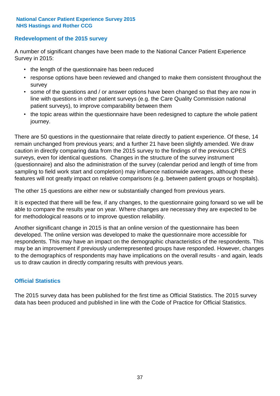# **Redevelopment of the 2015 survey**

A number of significant changes have been made to the National Cancer Patient Experience Survey in 2015:

- the length of the questionnaire has been reduced
- response options have been reviewed and changed to make them consistent throughout the survey
- some of the questions and / or answer options have been changed so that they are now in line with questions in other patient surveys (e.g. the Care Quality Commission national patient surveys), to improve comparability between them
- the topic areas within the questionnaire have been redesigned to capture the whole patient journey.

There are 50 questions in the questionnaire that relate directly to patient experience. Of these, 14 remain unchanged from previous years; and a further 21 have been slightly amended. We draw caution in directly comparing data from the 2015 survey to the findings of the previous CPES surveys, even for identical questions. Changes in the structure of the survey instrument (questionnaire) and also the administration of the survey (calendar period and length of time from sampling to field work start and completion) may influence nationwide averages, although these features will not greatly impact on relative comparisons (e.g. between patient groups or hospitals).

The other 15 questions are either new or substantially changed from previous years.

It is expected that there will be few, if any changes, to the questionnaire going forward so we will be able to compare the results year on year. Where changes are necessary they are expected to be for methodological reasons or to improve question reliability.

Another significant change in 2015 is that an online version of the questionnaire has been developed. The online version was developed to make the questionnaire more accessible for respondents. This may have an impact on the demographic characteristics of the respondents. This may be an improvement if previously underrepresented groups have responded. However, changes to the demographics of respondents may have implications on the overall results - and again, leads us to draw caution in directly comparing results with previous years.

# **Official Statistics**

The 2015 survey data has been published for the first time as Official Statistics. The 2015 survey data has been produced and published in line with the Code of Practice for Official Statistics.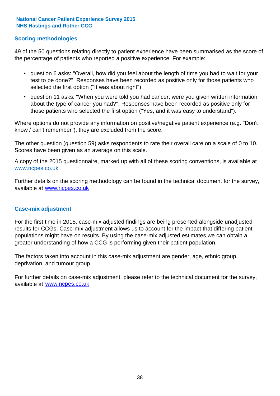# **Scoring methodologies**

49 of the 50 questions relating directly to patient experience have been summarised as the score of the percentage of patients who reported a positive experience. For example:

- question 6 asks: "Overall, how did you feel about the length of time you had to wait for your test to be done?". Responses have been recorded as positive only for those patients who selected the first option ("It was about right")
- question 11 asks: "When you were told you had cancer, were you given written information about the type of cancer you had?". Responses have been recorded as positive only for those patients who selected the first option ("Yes, and it was easy to understand").

Where options do not provide any information on positive/negative patient experience (e.g. "Don't know / can't remember"), they are excluded from the score.

The other question (question 59) asks respondents to rate their overall care on a scale of 0 to 10. Scores have been given as an average on this scale.

A copy of the 2015 questionnaire, marked up with all of these scoring conventions, is available at www.ncpes.co.uk

Further details on the scoring methodology can be found in the technical document for the survey, available at <u>www.ncpes.co.uk</u>

### **Case-mix adjustment**

For the first time in 2015, case-mix adjusted findings are being presented alongside unadjusted results for CCGs. Case-mix adjustment allows us to account for the impact that differing patient populations might have on results. By using the case-mix adjusted estimates we can obtain a greater understanding of how a CCG is performing given their patient population.

The factors taken into account in this case-mix adjustment are gender, age, ethnic group, deprivation, and tumour group.

For further details on case-mix adjustment, please refer to the technical document for the survey, available at www.ncpes.co.uk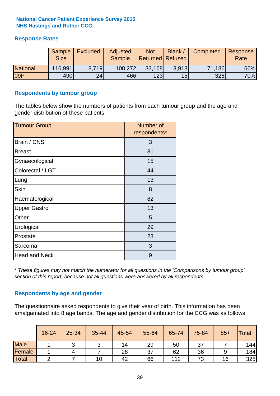# **Response Rates**

|                 | Sample<br><b>Size</b> | <b>Excluded</b> | Adjusted<br><b>Sample</b> | <b>Not</b><br><b>Returned Refused</b> | Blank / | Completed | Response<br>Rate |
|-----------------|-----------------------|-----------------|---------------------------|---------------------------------------|---------|-----------|------------------|
| <b>National</b> | 116,991               | 8.719           | 108,272                   | 33,168                                | 3.918   | 71,186    | 66%              |
| 09P             | 490                   | 24              | 466l                      | 123                                   | 15      | 328       | 70%              |

### **Respondents by tumour group**

The tables below show the numbers of patients from each tumour group and the age and gender distribution of these patients.

| <b>Tumour Group</b>  | Number of<br>respondents* |
|----------------------|---------------------------|
| Brain / CNS          | 3                         |
| <b>Breast</b>        | 81                        |
| Gynaecological       | 15                        |
| Colorectal / LGT     | 44                        |
| Lung                 | 13                        |
| <b>Skin</b>          | 8                         |
| Haematological       | 82                        |
| <b>Upper Gastro</b>  | 13                        |
| Other                | 5                         |
| Urological           | 29                        |
| Prostate             | 23                        |
| Sarcoma              | 3                         |
| <b>Head and Neck</b> | 9                         |

*\* These figures may not match the numerator for all questions in the 'Comparisons by tumour group' section of this report, because not all questions were answered by all respondents.*

# **Respondents by age and gender**

The questionnaire asked respondents to give their year of birth. This information has been amalgamated into 8 age bands. The age and gender distribution for the CCG was as follows:

|             | 16-24 | 25-34 | 35-44 | 45-54 | 55-64 | 65-74 | 75-84 | $85+$ | Total |
|-------------|-------|-------|-------|-------|-------|-------|-------|-------|-------|
| <b>Male</b> |       |       | ັ     | 14    | 29    | 50    | 37    |       | 144   |
| Female      |       | 4     |       | 28    | 37    | 62    | 36    |       | 184   |
| Total       |       |       | 10    | 42    | 66    | 112   | 73    | 16    | 328   |